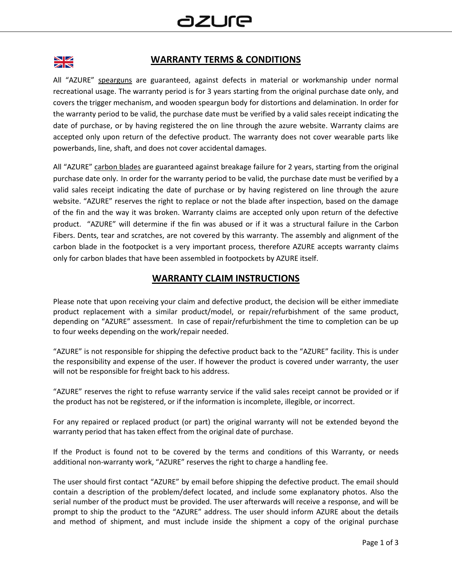

#### **WARRANTY TERMS & CONDITIONS**

All "AZURE" spearguns are guaranteed, against defects in material or workmanship under normal recreational usage. The warranty period is for 3 years starting from the original purchase date only, and covers the trigger mechanism, and wooden speargun body for distortions and delamination. In order for the warranty period to be valid, the purchase date must be verified by a valid sales receipt indicating the date of purchase, or by having registered the on line through the azure website. Warranty claims are accepted only upon return of the defective product. The warranty does not cover wearable parts like powerbands, line, shaft, and does not cover accidental damages.

All "AZURE" carbon blades are guaranteed against breakage failure for 2 years, starting from the original purchase date only. In order for the warranty period to be valid, the purchase date must be verified by a valid sales receipt indicating the date of purchase or by having registered on line through the azure website. "AZURE" reserves the right to replace or not the blade after inspection, based on the damage of the fin and the way it was broken. Warranty claims are accepted only upon return of the defective product. "AZURE" will determine if the fin was abused or if it was a structural failure in the Carbon Fibers. Dents, tear and scratches, are not covered by this warranty. The assembly and alignment of the carbon blade in the footpocket is a very important process, therefore AZURE accepts warranty claims only for carbon blades that have been assembled in footpockets by AZURE itself.

### **WARRANTY CLAIM INSTRUCTIONS**

Please note that upon receiving your claim and defective product, the decision will be either immediate product replacement with a similar product/model, or repair/refurbishment of the same product, depending on "AZURE" assessment. In case of repair/refurbishment the time to completion can be up to four weeks depending on the work/repair needed.

"AZURE" is not responsible for shipping the defective product back to the "AZURE" facility. This is under the responsibility and expense of the user. If however the product is covered under warranty, the user will not be responsible for freight back to his address.

"AZURE" reserves the right to refuse warranty service if the valid sales receipt cannot be provided or if the product has not be registered, or if the information is incomplete, illegible, or incorrect.

For any repaired or replaced product (or part) the original warranty will not be extended beyond the warranty period that has taken effect from the original date of purchase.

If the Product is found not to be covered by the terms and conditions of this Warranty, or needs additional non-warranty work, "AZURE" reserves the right to charge a handling fee.

The user should first contact "AZURE" by email before shipping the defective product. The email should contain a description of the problem/defect located, and include some explanatory photos. Also the serial number of the product must be provided. The user afterwards will receive a response, and will be prompt to ship the product to the "AZURE" address. The user should inform AZURE about the details and method of shipment, and must include inside the shipment a copy of the original purchase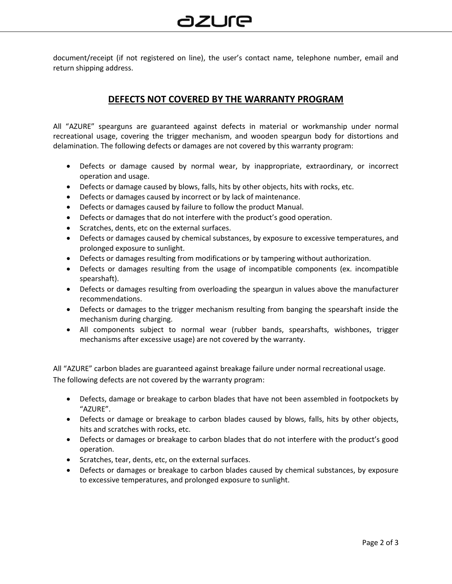document/receipt (if not registered on line), the user's contact name, telephone number, email and return shipping address.

## **DEFECTS NOT COVERED BY THE WARRANTY PROGRAM**

All "AZURE" spearguns are guaranteed against defects in material or workmanship under normal recreational usage, covering the trigger mechanism, and wooden speargun body for distortions and delamination. The following defects or damages are not covered by this warranty program:

- Defects or damage caused by normal wear, by inappropriate, extraordinary, or incorrect operation and usage.
- Defects or damage caused by blows, falls, hits by other objects, hits with rocks, etc.
- Defects or damages caused by incorrect or by lack of maintenance.
- Defects or damages caused by failure to follow the product Manual.
- Defects or damages that do not interfere with the product's good operation.
- Scratches, dents, etc on the external surfaces.
- Defects or damages caused by chemical substances, by exposure to excessive temperatures, and prolonged exposure to sunlight.
- Defects or damages resulting from modifications or by tampering without authorization.
- Defects or damages resulting from the usage of incompatible components (ex. incompatible spearshaft).
- Defects or damages resulting from overloading the speargun in values above the manufacturer recommendations.
- Defects or damages to the trigger mechanism resulting from banging the spearshaft inside the mechanism during charging.
- All components subject to normal wear (rubber bands, spearshafts, wishbones, trigger mechanisms after excessive usage) are not covered by the warranty.

All "AZURE" carbon blades are guaranteed against breakage failure under normal recreational usage. The following defects are not covered by the warranty program:

- Defects, damage or breakage to carbon blades that have not been assembled in footpockets by "AZURE".
- Defects or damage or breakage to carbon blades caused by blows, falls, hits by other objects, hits and scratches with rocks, etc.
- Defects or damages or breakage to carbon blades that do not interfere with the product's good operation.
- Scratches, tear, dents, etc, on the external surfaces.
- Defects or damages or breakage to carbon blades caused by chemical substances, by exposure to excessive temperatures, and prolonged exposure to sunlight.